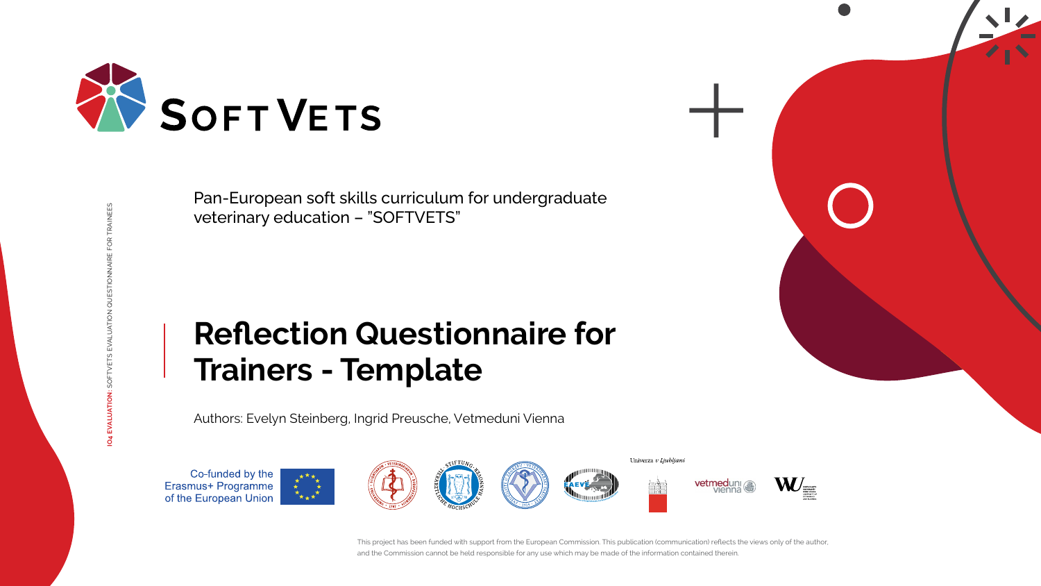AINEES **IO4 EVALUATION:** SOFTVETS EVALUATION QUESTIONNAIRE FOR TRAINEES













# **Reflection Questionnaire for Trainers - Template**



Pan-European soft skills curriculum for undergraduate veterinary education – "SOFTVETS"

Authors: Evelyn Steinberg, Ingrid Preusche, Vetmeduni Vienna

Co-funded by the Erasmus+ Programme<br>of the European Union





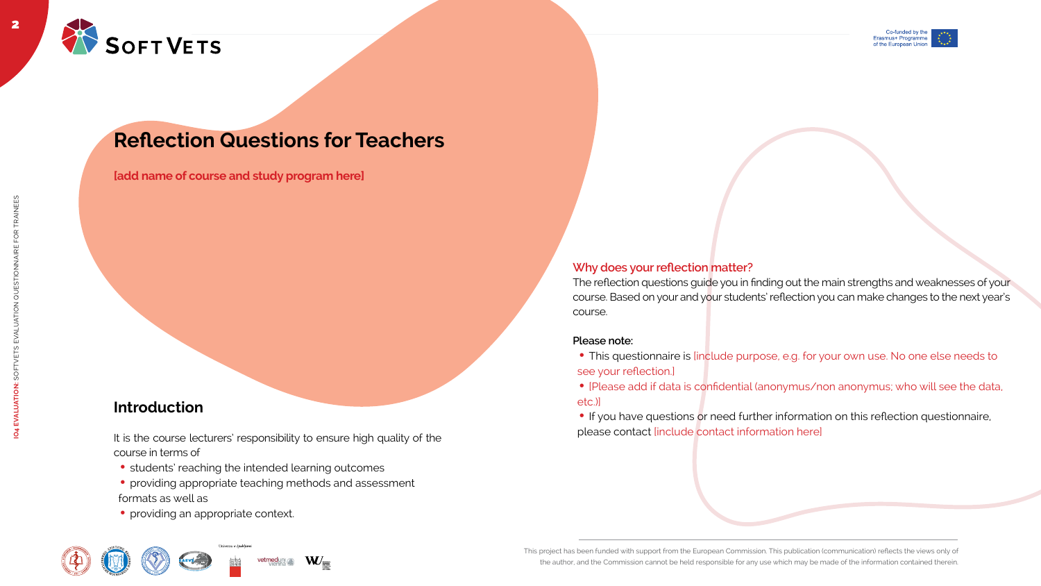







The reflection questions guide you in finding out the main strengths and weaknesses of your course. Based on your and your students' reflection you can make changes to the next year's course.



## **Reflection Questions for Teachers**

#### **Why does your reflection matter?**

- This questionnaire is [include purpose, e.g. for your own use. No one else needs to see your reflection.]
- [Please add if data is confidential (anonymus/non anonymus; who will see the data, etc.)]
- If you have questions or need further information on this reflection questionnaire, please contact [include contact information here]

It is the course lecturers' responsibility to ensure high quality of the course in terms of

- students' reaching the intended learning outcomes
- providing appropriate teaching methods and assessment formats as well as
- providing an appropriate context.









#### **Please note:**

### **Introduction**

**[add name of course and study program here]**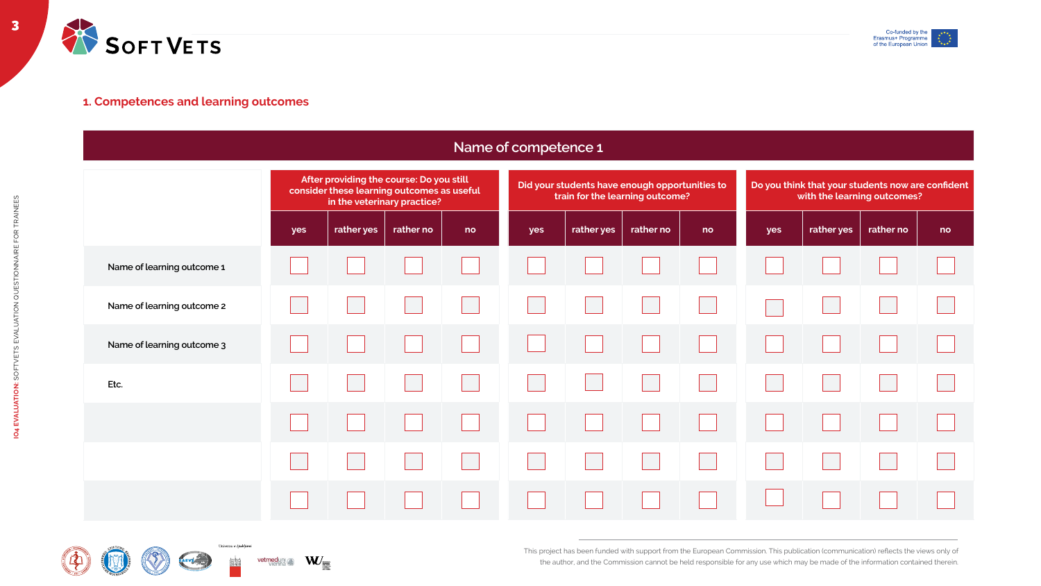

|                            | After providing the course: Do you still<br>consider these learning outcomes as useful<br>in the veterinary practice? |            |           | Did your students have enough opportunities to<br>train for the learning outcome? |     |            |           | Do you think that your students now are confident<br>with the learning outcomes? |     |            |           |    |
|----------------------------|-----------------------------------------------------------------------------------------------------------------------|------------|-----------|-----------------------------------------------------------------------------------|-----|------------|-----------|----------------------------------------------------------------------------------|-----|------------|-----------|----|
|                            | yes                                                                                                                   | rather yes | rather no | no                                                                                | yes | rather yes | rather no | no                                                                               | yes | rather yes | rather no | no |
| Name of learning outcome 1 |                                                                                                                       |            |           |                                                                                   |     |            |           |                                                                                  |     |            |           |    |
| Name of learning outcome 2 |                                                                                                                       |            |           |                                                                                   |     |            |           |                                                                                  |     |            |           |    |
| Name of learning outcome 3 |                                                                                                                       |            |           |                                                                                   |     |            |           |                                                                                  |     |            |           |    |
| Etc.                       |                                                                                                                       |            |           |                                                                                   |     |            |           |                                                                                  |     |            |           |    |
|                            |                                                                                                                       |            |           |                                                                                   |     |            |           |                                                                                  |     |            |           |    |
|                            |                                                                                                                       |            |           |                                                                                   |     |            |           |                                                                                  |     |            |           |    |
|                            |                                                                                                                       |            |           |                                                                                   |     |            |           |                                                                                  |     |            |           |    |











#### **Name of competence 1**



#### **1. Competences and learning outcomes**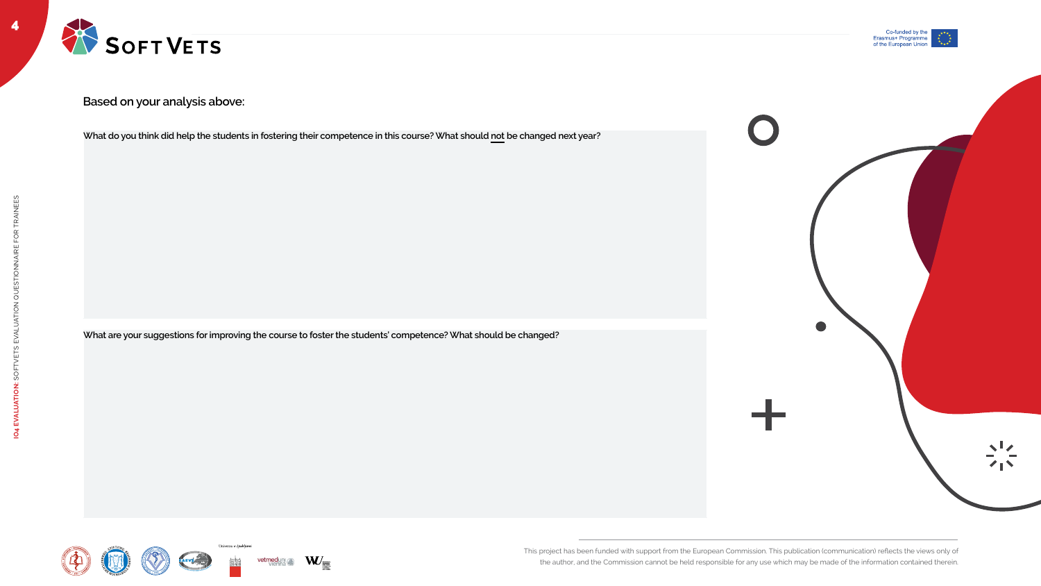

4



**What do you think did help the students in fostering their competence in this course? What should not be changed next year?**

**What are your suggestions for improving the course to foster the students' competence? What should be changed?** 

















**Based on your analysis above:**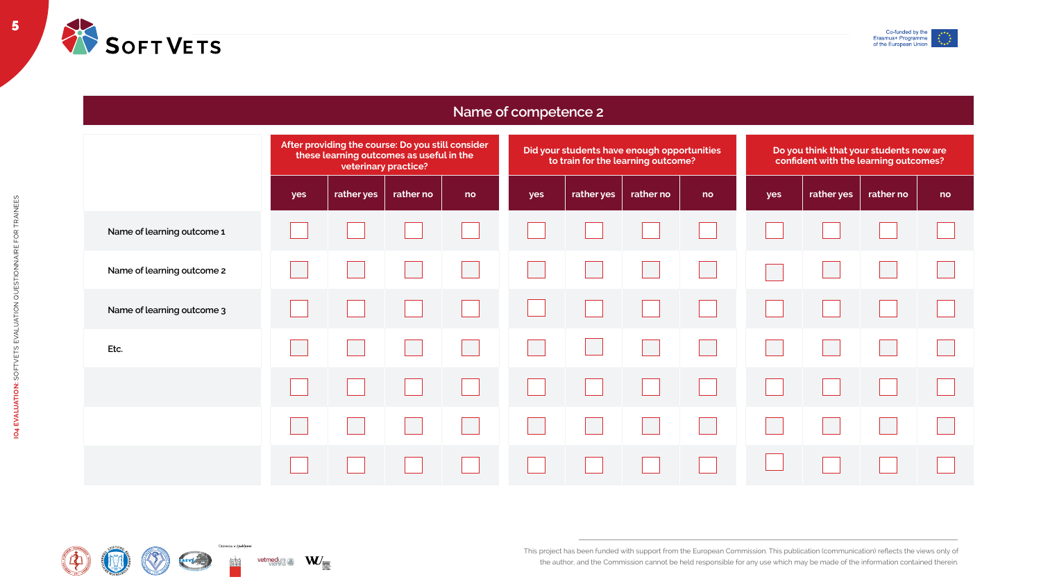5



| After providing the course: Do you still consider<br>these learning outcomes as useful in the<br>veterinary practice? |            |           |                                                                                                                         |  |  |  |
|-----------------------------------------------------------------------------------------------------------------------|------------|-----------|-------------------------------------------------------------------------------------------------------------------------|--|--|--|
| yes                                                                                                                   | rather yes | rather no | no                                                                                                                      |  |  |  |
|                                                                                                                       |            |           |                                                                                                                         |  |  |  |
|                                                                                                                       |            |           |                                                                                                                         |  |  |  |
|                                                                                                                       |            |           |                                                                                                                         |  |  |  |
|                                                                                                                       |            |           |                                                                                                                         |  |  |  |
|                                                                                                                       |            |           |                                                                                                                         |  |  |  |
|                                                                                                                       |            |           |                                                                                                                         |  |  |  |
|                                                                                                                       |            |           |                                                                                                                         |  |  |  |
|                                                                                                                       |            |           | <u>and the state of the state of the state of the state of the state of the state of the state of the state of the </u> |  |  |  |













|     | Did your students have enough opportunities<br>to train for the learning outcome? |           |    |     | Do you think that your students now are<br>confident with the learning outcomes? |           |    |  |  |  |
|-----|-----------------------------------------------------------------------------------|-----------|----|-----|----------------------------------------------------------------------------------|-----------|----|--|--|--|
| yes | rather yes                                                                        | rather no | no | yes | rather yes                                                                       | rather no | no |  |  |  |
|     |                                                                                   |           |    |     |                                                                                  |           |    |  |  |  |
|     |                                                                                   |           |    |     |                                                                                  |           |    |  |  |  |
|     |                                                                                   |           |    |     |                                                                                  |           |    |  |  |  |
|     |                                                                                   |           |    |     |                                                                                  |           |    |  |  |  |
|     |                                                                                   |           |    |     |                                                                                  |           |    |  |  |  |
|     |                                                                                   |           |    |     |                                                                                  |           |    |  |  |  |
|     |                                                                                   |           |    |     |                                                                                  |           |    |  |  |  |



### **Name of competence 2**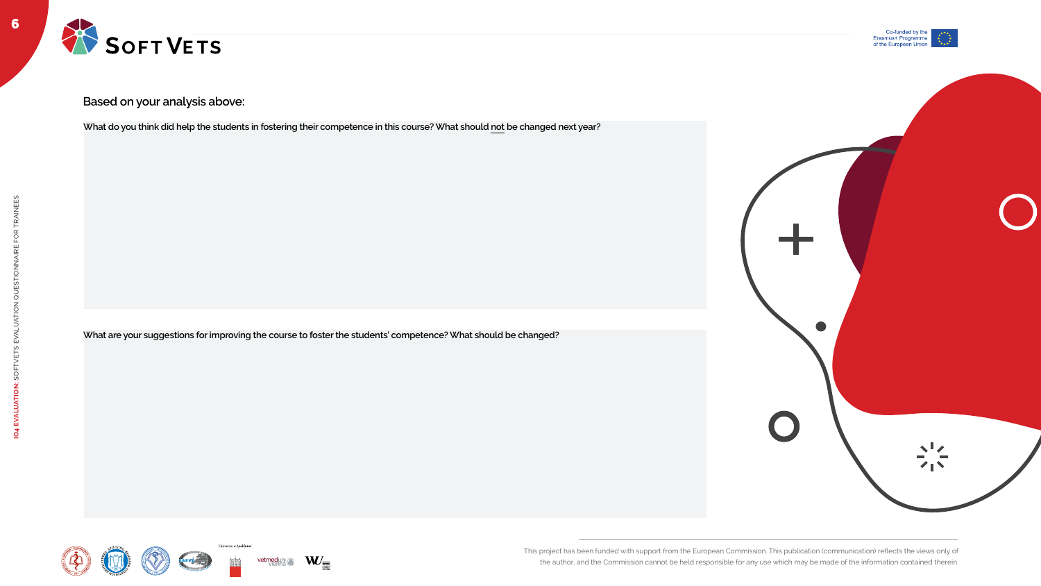



**What do you think did help the students in fostering their competence in this course? What should not be changed next year?**

**What are your suggestions for improving the course to foster the students' competence? What should be changed?** 









Univerza v Ljubljani







#### **Based on your analysis above:**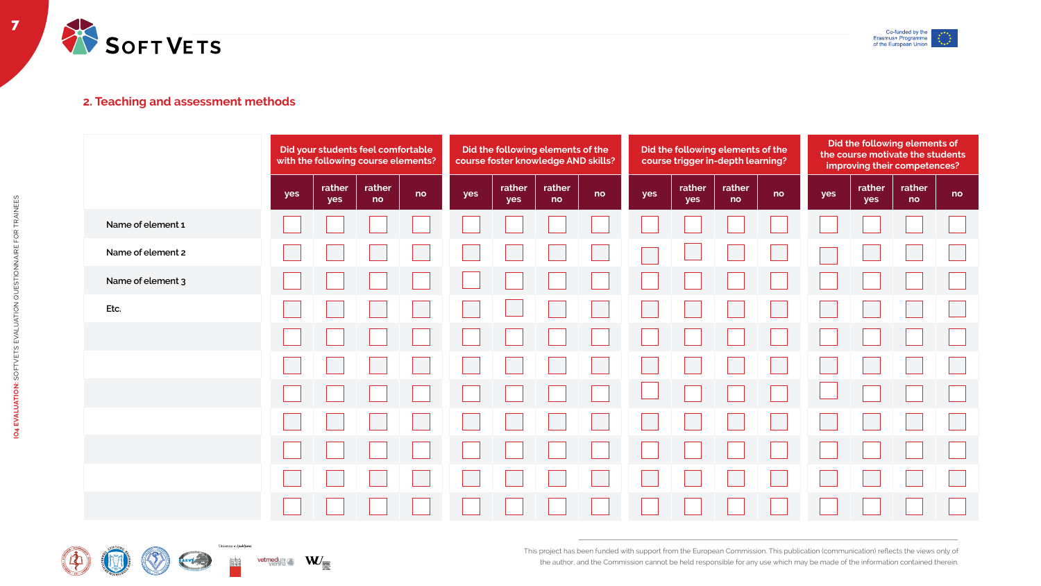















| e following elements of the<br><b>foster knowledge AND skills?</b> |              |    |     |               | Did the following elements of the<br>course trigger in-depth learning? |    | Did the following elements of<br>the course motivate the students<br>improving their competences? |               |              |    |
|--------------------------------------------------------------------|--------------|----|-----|---------------|------------------------------------------------------------------------|----|---------------------------------------------------------------------------------------------------|---------------|--------------|----|
| rather<br>yes                                                      | rather<br>no | no | yes | rather<br>yes | rather<br>no                                                           | no | yes                                                                                               | rather<br>yes | rather<br>no | no |
|                                                                    |              |    |     |               |                                                                        |    |                                                                                                   |               |              |    |
|                                                                    |              |    |     |               |                                                                        |    |                                                                                                   |               |              |    |
|                                                                    |              |    |     |               |                                                                        |    |                                                                                                   |               |              |    |
|                                                                    |              |    |     |               |                                                                        |    |                                                                                                   |               |              |    |
|                                                                    |              |    |     |               |                                                                        |    |                                                                                                   |               |              |    |
|                                                                    |              |    |     |               |                                                                        |    |                                                                                                   |               |              |    |
|                                                                    |              |    |     |               |                                                                        |    |                                                                                                   |               |              |    |
| a katika                                                           |              |    |     |               |                                                                        |    |                                                                                                   |               |              |    |
| $\mathbf{1}$                                                       |              |    |     |               |                                                                        |    |                                                                                                   |               |              |    |
| $\mathbb{R}^2$                                                     | $\mathbf{I}$ |    |     |               |                                                                        |    |                                                                                                   |               |              |    |
|                                                                    |              |    |     |               |                                                                        |    |                                                                                                   |               |              |    |



#### **2. Teaching and assessment methods**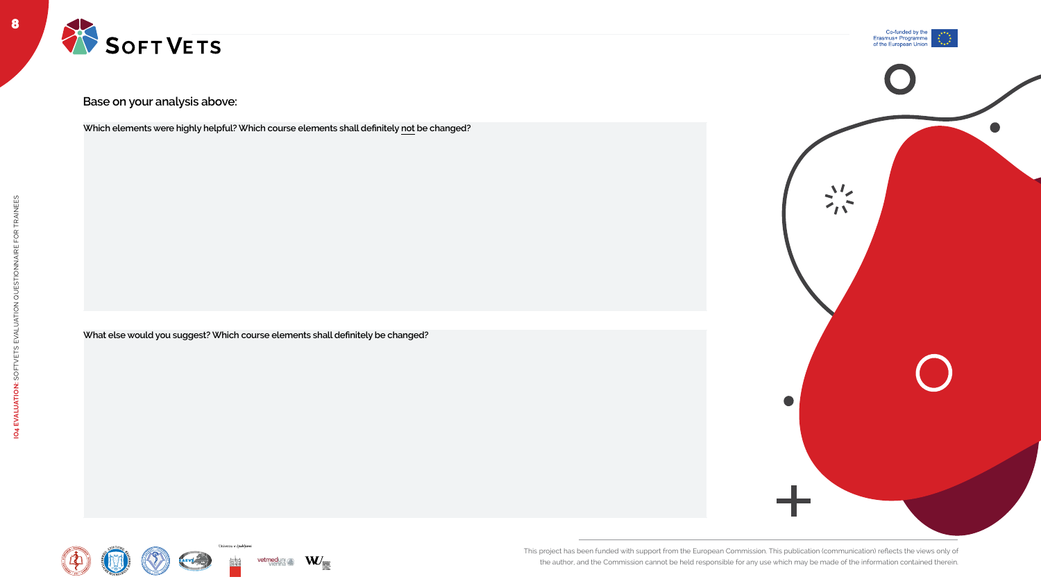8







**Which elements were highly helpful? Which course elements shall definitely not be changed?**

**What else would you suggest? Which course elements shall definitely be changed?**















**Base on your analysis above:**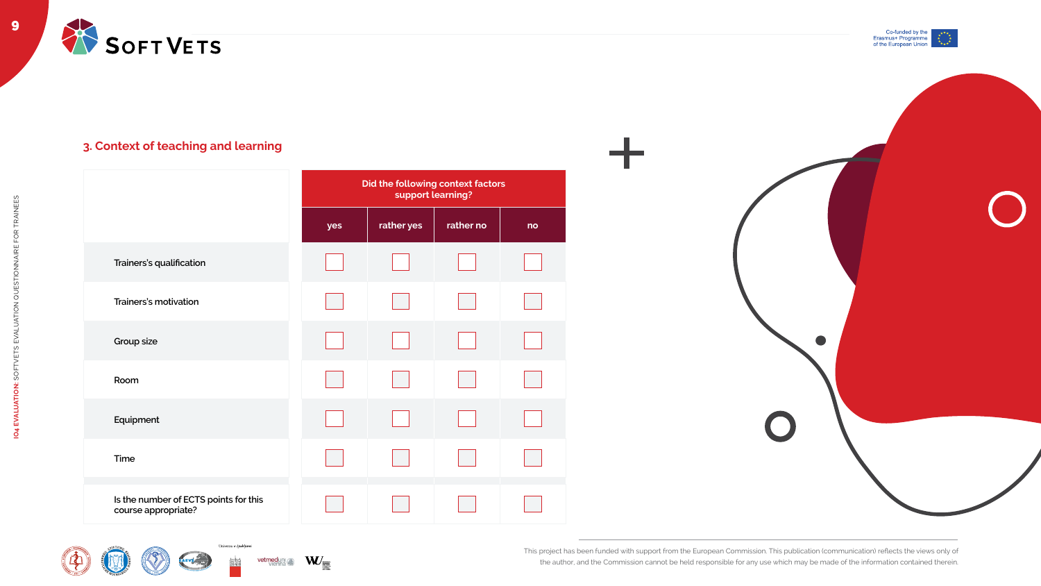



|                                                              | Did the following context factors<br>support learning? |            |           |    |  |  |  |  |
|--------------------------------------------------------------|--------------------------------------------------------|------------|-----------|----|--|--|--|--|
|                                                              | yes                                                    | rather yes | rather no | no |  |  |  |  |
| <b>Trainers's qualification</b>                              |                                                        |            |           |    |  |  |  |  |
| <b>Trainers's motivation</b>                                 |                                                        |            |           |    |  |  |  |  |
| <b>Group size</b>                                            |                                                        |            |           |    |  |  |  |  |
| Room                                                         |                                                        |            |           |    |  |  |  |  |
| Equipment                                                    |                                                        |            |           |    |  |  |  |  |
| <b>Time</b>                                                  |                                                        |            |           |    |  |  |  |  |
| Is the number of ECTS points for this<br>course appropriate? |                                                        |            |           |    |  |  |  |  |







Univerza $\boldsymbol{v}$  Ljubljani









#### **3. Context of teaching and learning**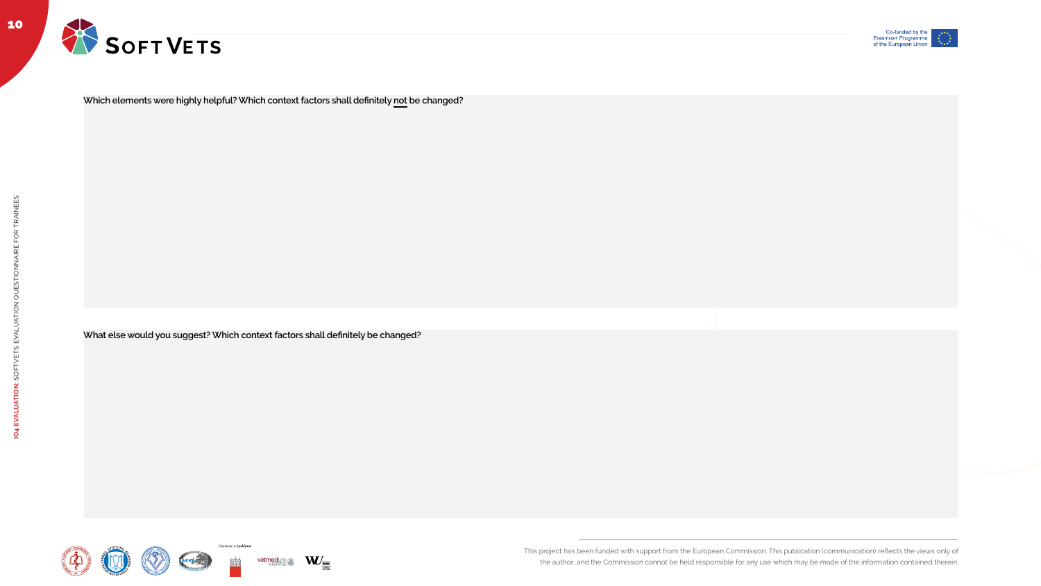This project has been funded with support from the European Commission. This publication (communication) reflects the views only of



the author, and the Commission cannot be held responsible for any use which may be made of the information contained therein.



**Which elements were highly helpful? Which context factors shall definitely not be changed?**

**What else would you suggest? Which context factors shall definitely be changed?**